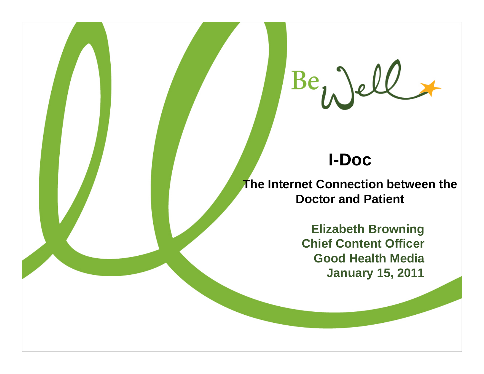

**I-Doc** 

**The Internet Connection between the Doctor and Patient**

> **Elizabeth Browning Chief Content Officer Good Health Media January 15, 2011**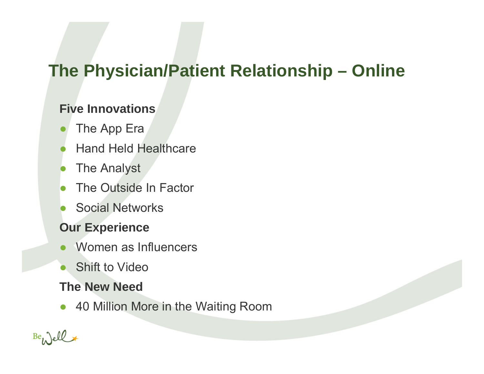# **The Physician/Patient Relationship – Online**

### **Five Innovations**

- ●The App Era
- ●Hand Held Healthcare
- ●The Analyst
- ●The Outside In Factor
- ●Social Networks

### **Our Experience**

- ●Women as Influencers
- ●Shift to Video

### **The New Need**

 $\bullet$ 40 Million More in the Waiting Room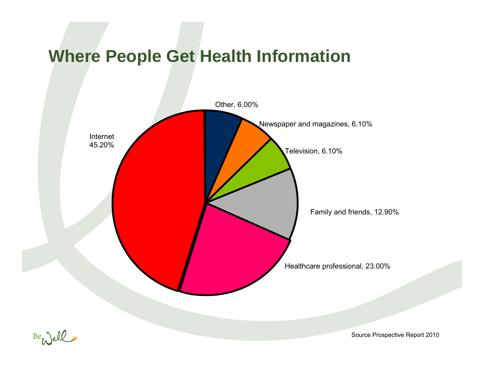## **Where People Get Health Information**



Be well

Source Prospective Report 2010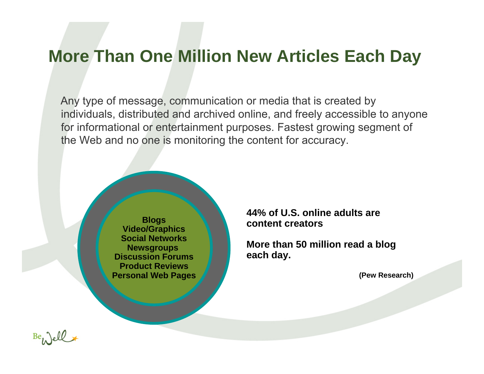### **More Than One Million New Articles Each Day**

Any type of message, communication or media that is created by individuals, distributed and archived online, and freely accessible to anyone for informational or entertainment purposes. Fastest growing segment of the Web and no one is monitoring the content for accuracy.

> **Blogs Video/Graphics Social NetworksNewsgroups Discussion ForumsProduct ReviewsPersonal Web Pages**

**44% of U.S. online adults are content creators**

**More than 50 million read a blog each day.** 

**(Pew Research)**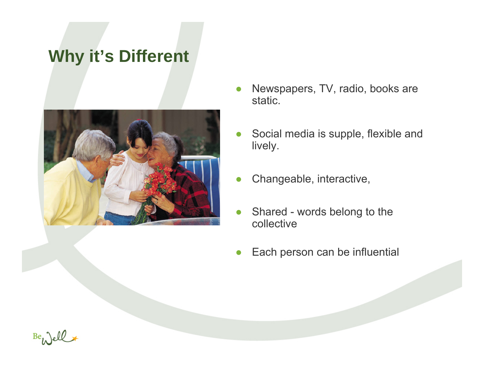## **Why it's Different**



- Newspapers, TV, radio, books are static.
- $\bullet$  Social media is supple, flexible and lively.
- ●Changeable, interactive,
- ● Shared - words belong to the collective
- $\bullet$ Each person can be influential

 $Be_{l}$   $de_{l}$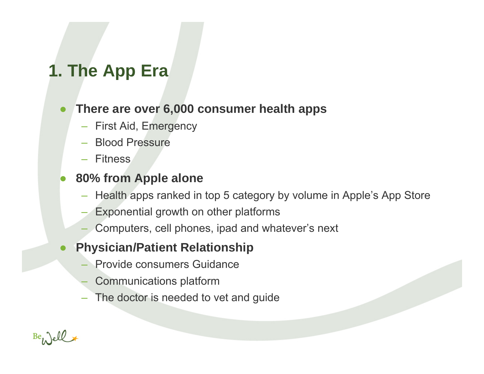# **1. The App Era**

### ●**There are over 6,000 consumer health apps**

- First Aid, Emergency
- Blood Pressure
- Fitness

#### ●**80% from Apple alone**

- Health apps ranked in top 5 category by volume in Apple's App Store
- Exponential growth on other platforms
- Computers, cell phones, ipad and whatever's next
- ● **Physician/Patient Relationship**
	- Provide consumers Guidance
	- Communications platform
	- The doctor is needed to vet and guide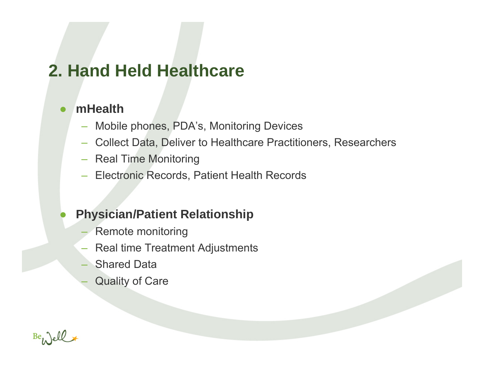# **2. Hand Held Healthcare**

#### ●**mHealth**

- Mobile phones, PDA's, Monitoring Devices
- Collect Data, Deliver to Healthcare Practitioners, Researchers
- Real Time Monitoring
- Electronic Records, Patient Health Records

### $\bullet$ **Physician/Patient Relationship**

- Remote monitoring
- Real time Treatment Adjustments
- Shared Data
- Quality of Care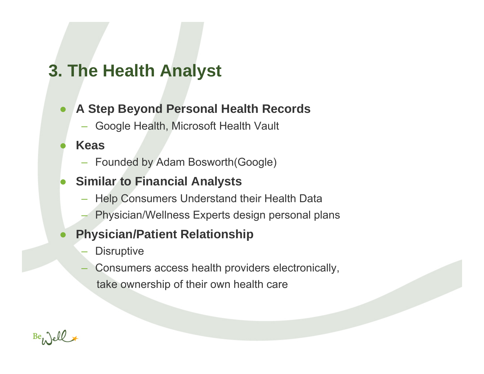# **3. The Health Analyst**

#### ●**A Step Beyond Personal Health Records**

– Google Health, Microsoft Health Vault

#### ●**Keas**

– Founded by Adam Bosworth(Google)

### ●**Similar to Financial Analysts**

- Help Consumers Understand their Health Data
- Physician/Wellness Experts design personal plans

### ●**Physician/Patient Relationship**

- **Disruptive**
- Consumers access health providers electronically, take ownership of their own health care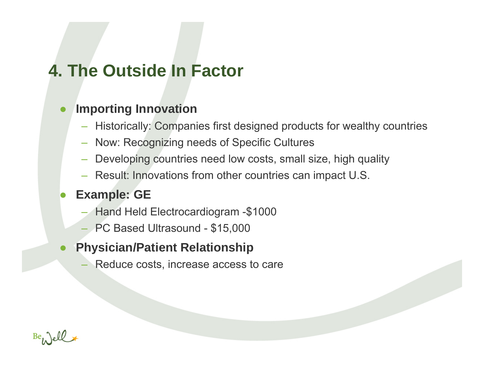## **4. The Outside In Factor**

#### ●**Importing Innovation**

- Historically: Companies first designed products for wealthy countries
- Now: Recognizing needs of Specific Cultures
- Developing countries need low costs, small size, high quality
- Result: Innovations from other countries can impact U.S.

### ●**Example: GE**

- Hand Held Electrocardiogram -\$1000
- PC Based Ultrasound \$15,000
- ● **Physician/Patient Relationship**
	- Reduce costs, increase access to care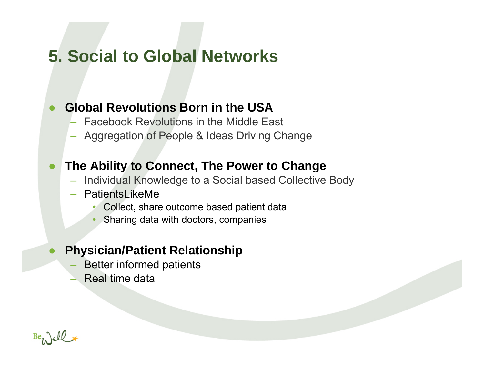## **5. Social to Global Networks**

### ●**Global Revolutions Born in the USA**

- Facebook Revolutions in the Middle East
- Aggregation of People & Ideas Driving Change

### ●**The Ability to Connect, The Power to Change**

- Individual Knowledge to a Social based Collective Body
- PatientsLikeMe
	- •Collect, share outcome based patient data
	- •Sharing data with doctors, companies

### ●**Physician/Patient Relationship**

- Better informed patients
- Real time data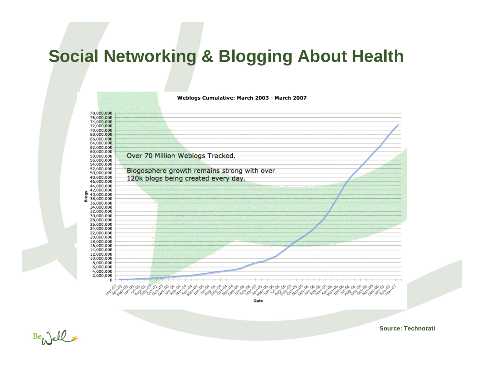## **Social Networking & Blogging About Health**

Weblogs Cumulative: March 2003 - March 2007



Date

 $Be_{1}$  ell

**Source: Technorati**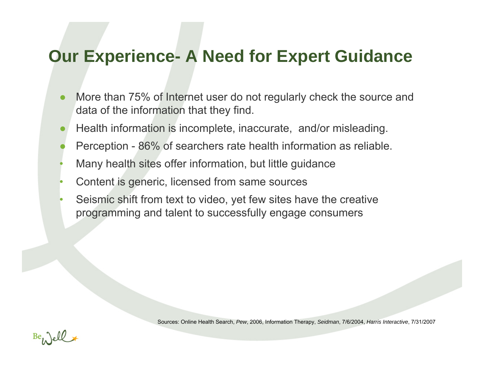## **Our Experience- A Need for Expert Guidance**

- ● More than 75% of Internet user do not regularly check the source and data of the information that they find.
- ●Health information is incomplete, inaccurate, and/or misleading.
- ●Perception - 86% of searchers rate health information as reliable.
- •Many health sites offer information, but little guidance
- •Content is generic, licensed from same sources
- • Seismic shift from text to video, yet few sites have the creative programming and talent to successfully engage consumers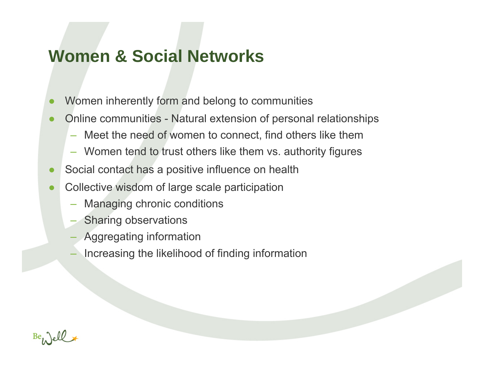## **Women & Social Networks**

- ●Women inherently form and belong to communities
- ● Online communities - Natural extension of personal relationships
	- –Meet the need of women to connect, find others like them
	- Women tend to trust others like them vs. authority figures
- ●Social contact has a positive influence on health
- ● Collective wisdom of large scale participation
	- –Managing chronic conditions
	- Sharing observations
	- Aggregating information
	- Increasing the likelihood of finding information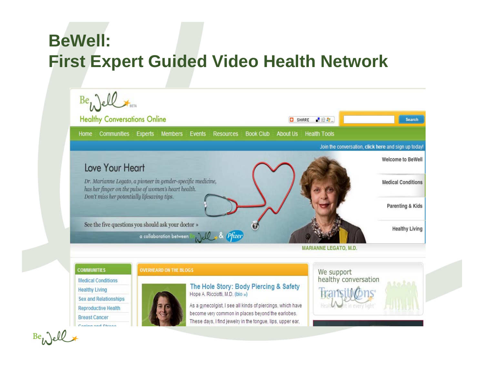# **BeWell: First Expert Guided Video Health Network**



**MARIANNE LEGATO, M.D.** 

#### **COMMUNITIES**

**Medical Conditions** 

**Healthy Living** 

**Sex and Relationships** 

Reproductive Health

**Breast Cancer** Coning and Chrono



**OVERHEARD ON THE BLOGS** 

The Hole Story: Body Piercing & Safety Hope A. Ricciotti, M.D. (bio »)

As a gynecolgist, I see all kinds of piercings, which have become very common in places beyond the earlobes. These days, I find jewelry in the tonque, lips, upper ear,

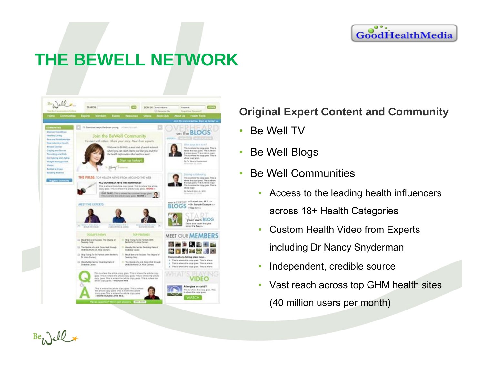#### $\bullet\bullet$  $\bullet$ GoodHealthMedia

# **THE BEWELL NETWORK**



### **Original Expert Content and Community**

- $\bullet$ Be Well TV
- •Be Well Blogs
- $\bullet$  Be Well Communities
	- • Access to the leading health influencers across 18+ Health Categories
	- • Custom Health Video from Experts including Dr Nancy Snyderman
	- •Independent, credible source
	- Vast reach across top GHM health sites (40 million users per month)

Be Well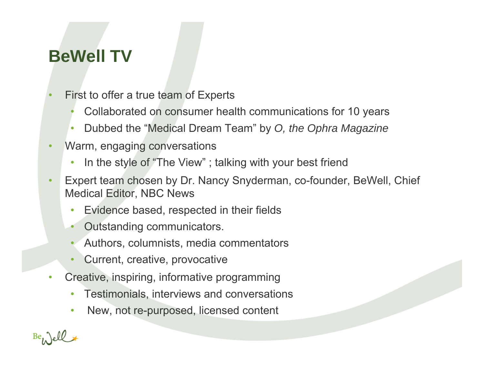# **BeWell TV**

- • First to offer a true team of Experts
	- •Collaborated on consumer health communications for 10 years
	- •Dubbed the "Medical Dream Team" by *O, the Ophra Magazine*
- • Warm, engaging conversations
	- $\bullet$ In the style of "The View" ; talking with your best friend
- • Expert team chosen by Dr. Nancy Snyderman, co-founder, BeWell, Chief Medical Editor, NBC News
	- $\bullet$ Evidence based, respected in their fields
	- •Outstanding communicators.
	- •Authors, columnists, media commentators
	- •Current, creative, provocative
- $\bullet$  Creative, inspiring, informative programming
	- •Testimonials, interviews and conversations
	- $\bullet$ New, not re-purposed, licensed content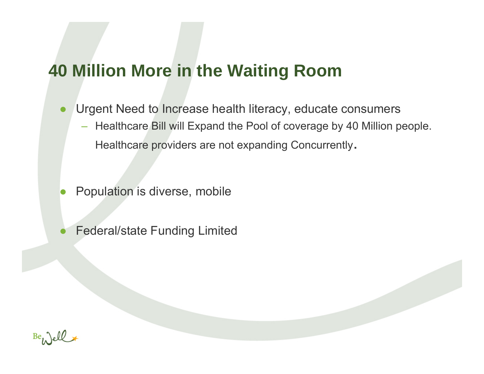## **40 Million More in the Waiting Room**

- ● Urgent Need to Increase health literacy, educate consumers
	- Healthcare Bill will Expand the Pool of coverage by 40 Million people. Healthcare providers are not expanding Concurrently.

- ●Population is diverse, mobile
- ●Federal/state Funding Limited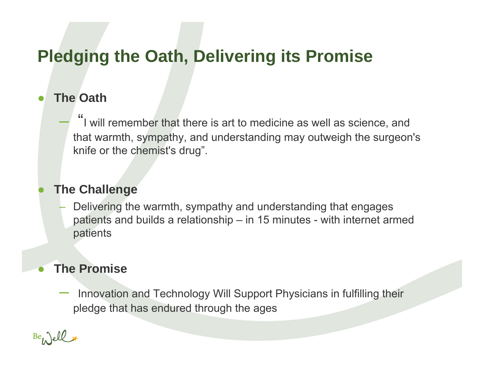# **Pledging the Oath, Delivering its Promise**

#### ●**The Oath**

"I will remember that there is art to medicine as well as science, and that warmth, sympathy, and understanding may outweigh the surgeon's knife or the chemist's drug".

### **The Challenge**

 Delivering the warmth, sympathy and understanding that engages patients and builds a relationship – in 15 minutes - with internet armed patients

### **The Promise**

 Innovation and Technology Will Support Physicians in fulfilling their pledge that has endured through the ages

●

 $\bullet$